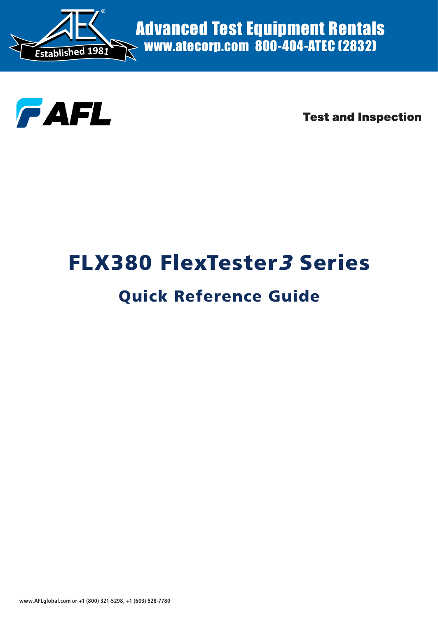

Advanced Test Equipment Rentals www.atecorp.com 800-404-ATEC (2832)



**Test and Inspection** 

# FLX380 FlexTester3 Series

## Quick Reference Guide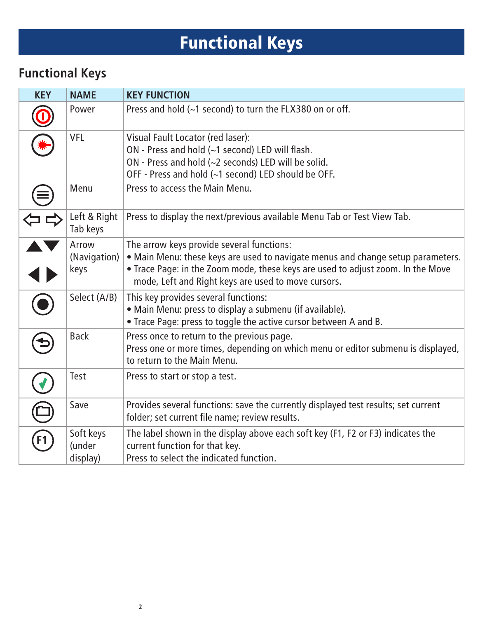# Functional Keys

#### **Functional Keys**

| <b>KEY</b> | <b>NAME</b>                     | <b>KEY FUNCTION</b>                                                                                                                                                                                                                                                    |
|------------|---------------------------------|------------------------------------------------------------------------------------------------------------------------------------------------------------------------------------------------------------------------------------------------------------------------|
|            | Power                           | Press and hold (~1 second) to turn the FLX380 on or off.                                                                                                                                                                                                               |
|            | <b>VFL</b>                      | Visual Fault Locator (red laser):<br>ON - Press and hold (~1 second) LED will flash.<br>ON - Press and hold (~2 seconds) LED will be solid.<br>OFF - Press and hold (~1 second) LED should be OFF.                                                                     |
|            | Menu                            | Press to access the Main Menu.                                                                                                                                                                                                                                         |
|            | Left & Right<br>Tab keys        | Press to display the next/previous available Menu Tab or Test View Tab.                                                                                                                                                                                                |
|            | Arrow<br>(Navigation)<br>keys   | The arrow keys provide several functions:<br>• Main Menu: these keys are used to navigate menus and change setup parameters.<br>• Trace Page: in the Zoom mode, these keys are used to adjust zoom. In the Move<br>mode, Left and Right keys are used to move cursors. |
|            | Select (A/B)                    | This key provides several functions:<br>· Main Menu: press to display a submenu (if available).<br>• Trace Page: press to toggle the active cursor between A and B.                                                                                                    |
|            | <b>Back</b>                     | Press once to return to the previous page.<br>Press one or more times, depending on which menu or editor submenu is displayed,<br>to return to the Main Menu.                                                                                                          |
|            | Test                            | Press to start or stop a test.                                                                                                                                                                                                                                         |
|            | Save                            | Provides several functions: save the currently displayed test results; set current<br>folder; set current file name; review results.                                                                                                                                   |
| F1         | Soft keys<br>(under<br>display) | The label shown in the display above each soft key (F1, F2 or F3) indicates the<br>current function for that key.<br>Press to select the indicated function.                                                                                                           |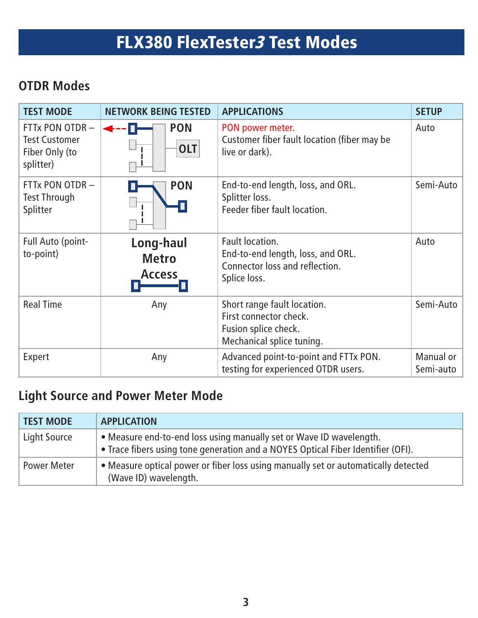# FLX380 FlexTester3 Test Modes

#### **OTDR Modes**

| <b>TEST MODE</b>                                                       | <b>NETWORK BEING TESTED</b>                | <b>APPLICATIONS</b>                                                                                        | <b>SETUP</b>           |
|------------------------------------------------------------------------|--------------------------------------------|------------------------------------------------------------------------------------------------------------|------------------------|
| FTTx PON OTDR -<br><b>Test Customer</b><br>Fiber Only (to<br>splitter) | <b>PON</b><br><b>OLT</b>                   | PON power meter.<br>Customer fiber fault location (fiber may be<br>live or dark).                          | Auto                   |
| FTTx PON OTDR-<br><b>Test Through</b><br>Splitter                      | <b>PON</b>                                 | End-to-end length, loss, and ORL.<br>Splitter loss.<br>Feeder fiber fault location.                        | Semi-Auto              |
| Full Auto (point-<br>to-point)                                         | Long-haul<br><b>Metro</b><br><b>Access</b> | Fault location.<br>End-to-end length, loss, and ORL.<br>Connector loss and reflection.<br>Splice loss.     | Auto                   |
| <b>Real Time</b>                                                       | Any                                        | Short range fault location.<br>First connector check.<br>Fusion splice check.<br>Mechanical splice tuning. | Semi-Auto              |
| Expert                                                                 | Any                                        | Advanced point-to-point and FTTx PON.<br>testing for experienced OTDR users.                               | Manual or<br>Semi-auto |

#### **Light Source and Power Meter Mode**

| <b>TEST MODE</b>   | <b>APPLICATION</b>                                                                                                                                      |
|--------------------|---------------------------------------------------------------------------------------------------------------------------------------------------------|
| Light Source       | • Measure end-to-end loss using manually set or Wave ID wavelength.<br>• Trace fibers using tone generation and a NOYES Optical Fiber Identifier (OFI). |
| <b>Power Meter</b> | • Measure optical power or fiber loss using manually set or automatically detected<br>(Wave ID) wavelength.                                             |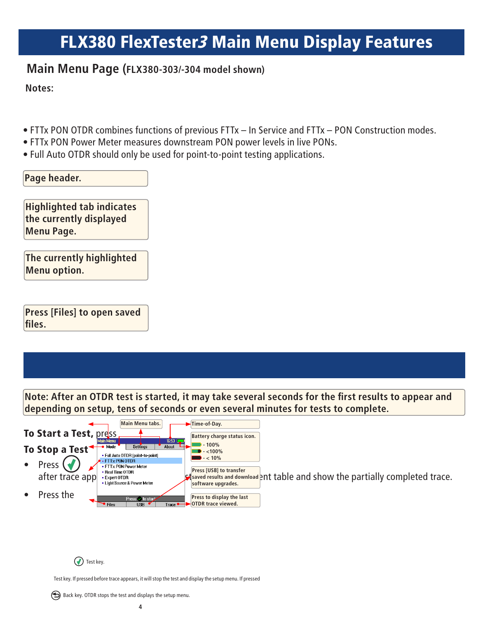### FLX380 FlexTester3 Main Menu Display Features

#### **Main Menu Page (FLX380-303/-304 model shown)**

**Notes:**

- FTTx PON OTDR combines functions of previous FTTx In Service and FTTx PON Construction modes.
- FTTx PON Power Meter measures downstream PON power levels in live PONs.
- Full Auto OTDR should only be used for point-to-point testing applications.

| Pa | ae hea<br>ıρι |  |
|----|---------------|--|
|    |               |  |

**Highlighted tab indicates the currently displayed Menu Page.**

**The currently highlighted Menu option.**

**Press [Files] to open saved files.**

**Note: After an OTDR test is started, it may take several seconds for the first results to appear and depending on setup, tens of seconds or even several minutes for tests to complete.**



**(v)** Test key.

Test key. If pressed before trace appears, it will stop the test and display the setup menu. If pressed

 $\bigodot$  Back key. OTDR stops the test and displays the setup menu.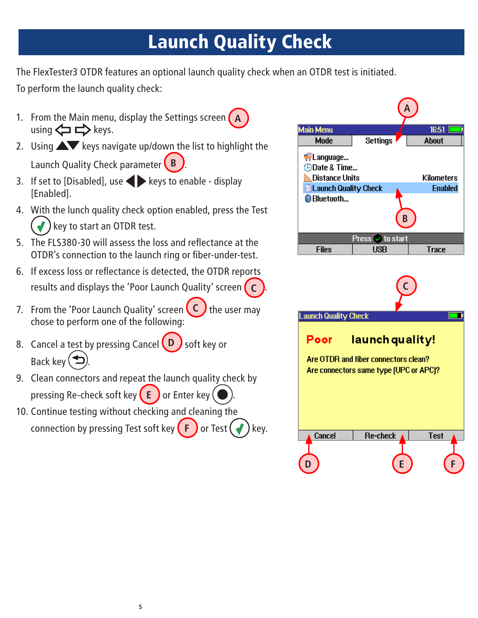# Launch Quality Check

The FlexTester3 OTDR features an optional launch quality check when an OTDR test is initiated. To perform the launch quality check:

- 1. From the Main menu, display the Settings screen **A**  $using \Leftrightarrow \Leftrightarrow$  keys.
- 2. Using  $\triangle\blacktriangledown$  keys navigate up/down the list to highlight the Launch Quality Check parameter **B** .
- 3. If set to [Disabled], use  $\blacktriangleright$  keys to enable display [Enabled].
- 4. With the lunch quality check option enabled, press the Test key to start an OTDR test.
- 5. The FLS380-30 will assess the loss and reflectance at the OTDR's connection to the launch ring or fiber-under-test.
- 6. If excess loss or reflectance is detected, the OTDR reports results and displays the 'Poor Launch Quality' screen **C** .
- 7. From the 'Poor Launch Quality' screen **C** the user may chose to perform one of the following:
- 8. Cancel a test by pressing Cancel **D** soft key or Back key  $($
- 9. Clean connectors and repeat the launch quality check by pressing Re-check soft key **E** or Enter key (
- 10. Continue testing without checking and cleaning the connection by pressing Test soft key  $(F)$  or Test  $(*)$  key.





**D E F**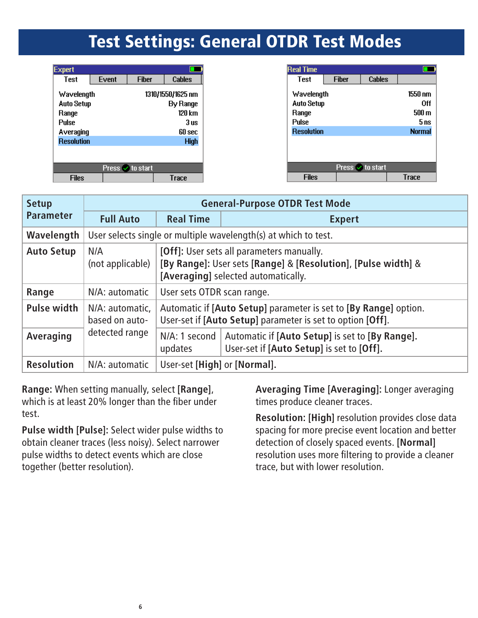### Test Settings: General OTDR Test Modes

| <b>Expert</b>                                            |       |                  |                                                        |
|----------------------------------------------------------|-------|------------------|--------------------------------------------------------|
| <b>Test</b>                                              | Event | <b>Fiher</b>     | Cables                                                 |
| Wavelength<br><b>Auto Setup</b><br>Range<br><b>Pulse</b> |       |                  | 1310/1550/1625 nm<br><b>By Range</b><br>120 km<br>3 us |
| Averaging                                                |       |                  | 60 sec                                                 |
| <b>Resolution</b>                                        |       |                  | <b>High</b>                                            |
|                                                          |       |                  |                                                        |
|                                                          |       | Press ✔ to start |                                                        |
| Files                                                    |       |                  | Trace                                                  |

| <b>Real Time</b>  |              |                         |               |
|-------------------|--------------|-------------------------|---------------|
| <b>Test</b>       | <b>Fiber</b> | <b>Cables</b>           |               |
| Wavelength        |              |                         | 1550 nm       |
| <b>Auto Setup</b> |              |                         | 0ff           |
| Range             |              |                         | 500 m         |
| <b>Pulse</b>      |              |                         | 5 ns          |
| <b>Resolution</b> |              |                         | <b>Normal</b> |
|                   |              |                         |               |
|                   |              |                         |               |
|                   |              |                         |               |
|                   |              | Press <i>V</i> to start |               |
| <b>Files</b>      |              |                         | Trace         |

| <b>Setup</b>       | <b>General-Purpose OTDR Test Mode</b> |                                                                                                                                                   |                                                                                                                                |  |  |  |
|--------------------|---------------------------------------|---------------------------------------------------------------------------------------------------------------------------------------------------|--------------------------------------------------------------------------------------------------------------------------------|--|--|--|
| <b>Parameter</b>   | <b>Full Auto</b>                      | <b>Real Time</b>                                                                                                                                  | <b>Expert</b>                                                                                                                  |  |  |  |
| Wavelength         |                                       |                                                                                                                                                   | User selects single or multiple wavelength(s) at which to test.                                                                |  |  |  |
| <b>Auto Setup</b>  | N/A<br>(not applicable)               | [Off]: User sets all parameters manually.<br>[By Range]: User sets [Range] & [Resolution], [Pulse width] &<br>[Averaging] selected automatically. |                                                                                                                                |  |  |  |
| Range              | N/A: automatic                        | User sets OTDR scan range.                                                                                                                        |                                                                                                                                |  |  |  |
| <b>Pulse width</b> | N/A: automatic,<br>based on auto-     |                                                                                                                                                   | Automatic if [Auto Setup] parameter is set to [By Range] option.<br>User-set if [Auto Setup] parameter is set to option [Off]. |  |  |  |
| Averaging          | detected range                        | N/A: 1 second<br>updates                                                                                                                          | Automatic if [Auto Setup] is set to [By Range].<br>User-set if [Auto Setup] is set to [Off].                                   |  |  |  |
| <b>Resolution</b>  | N/A: automatic                        | User-set [High] or [Normal].                                                                                                                      |                                                                                                                                |  |  |  |

**Range:** When setting manually, select **[Range]**, which is at least 20% longer than the fiber under test.

**Pulse width [Pulse]:** Select wider pulse widths to obtain cleaner traces (less noisy). Select narrower pulse widths to detect events which are close together (better resolution).

**Averaging Time [Averaging]:** Longer averaging times produce cleaner traces.

**Resolution: [High]** resolution provides close data spacing for more precise event location and better detection of closely spaced events. **[Normal]** resolution uses more filtering to provide a cleaner trace, but with lower resolution.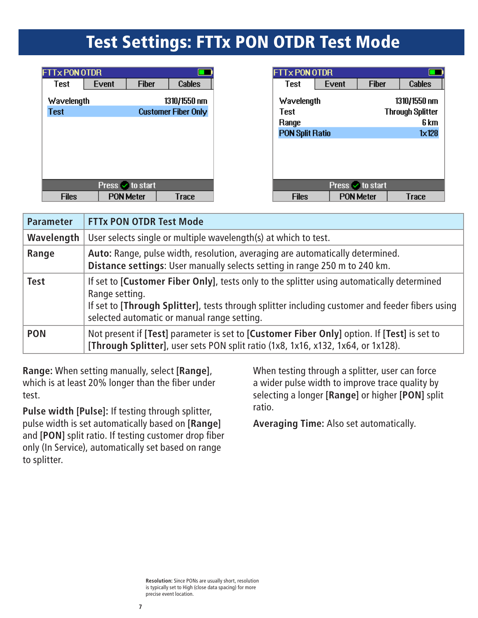### Test Settings: FTTx PON OTDR Test Mode

| <b>FTTx PON OTDR</b> |       |                  |                            |  |  |  |
|----------------------|-------|------------------|----------------------------|--|--|--|
| <b>Test</b>          | Event | <b>Fiber</b>     | <b>Cables</b>              |  |  |  |
| Wavelength           |       |                  | 1310/1550 nm               |  |  |  |
| <b>Test</b>          |       |                  | <b>Customer Fiber Only</b> |  |  |  |
|                      |       |                  |                            |  |  |  |
|                      |       |                  |                            |  |  |  |
|                      |       |                  |                            |  |  |  |
|                      |       |                  |                            |  |  |  |
|                      |       |                  |                            |  |  |  |
| Press v to start     |       |                  |                            |  |  |  |
| Files                |       | <b>PON Meter</b> | Trace                      |  |  |  |

| <b>FITX PON OTDR</b>        |       |                  |                                                 |  |  |  |
|-----------------------------|-------|------------------|-------------------------------------------------|--|--|--|
| Test                        | Event | <b>Fiber</b>     | Cables                                          |  |  |  |
| Wavelength<br>Test<br>Range |       |                  | 1310/1550 nm<br><b>Through Splitter</b><br>6 km |  |  |  |
| <b>PON Split Ratio</b>      |       |                  | $1 \times 128$                                  |  |  |  |
|                             |       |                  |                                                 |  |  |  |
|                             |       |                  |                                                 |  |  |  |
|                             |       |                  |                                                 |  |  |  |
| Press v to start            |       |                  |                                                 |  |  |  |
| Files                       |       | <b>PON Meter</b> | <b>Trace</b>                                    |  |  |  |

| <b>Parameter</b> | <b>FTTx PON OTDR Test Mode</b>                                                                                                                                                                                                                                       |
|------------------|----------------------------------------------------------------------------------------------------------------------------------------------------------------------------------------------------------------------------------------------------------------------|
| Wavelength       | User selects single or multiple wavelength(s) at which to test.                                                                                                                                                                                                      |
| Range            | Auto: Range, pulse width, resolution, averaging are automatically determined.<br>Distance settings: User manually selects setting in range 250 m to 240 km.                                                                                                          |
| <b>Test</b>      | If set to <b>Customer Fiber Only</b> , tests only to the splitter using automatically determined<br>Range setting.<br>If set to [Through Splitter], tests through splitter including customer and feeder fibers using<br>selected automatic or manual range setting. |
| <b>PON</b>       | Not present if [Test] parameter is set to [Customer Fiber Only] option. If [Test] is set to<br>[Through Splitter], user sets PON split ratio (1x8, 1x16, x132, 1x64, or 1x128).                                                                                      |

**Range:** When setting manually, select **[Range]**, which is at least 20% longer than the fiber under test.

**Pulse width [Pulse]:** If testing through splitter, pulse width is set automatically based on **[Range]** and **[PON]** split ratio. If testing customer drop fiber only (In Service), automatically set based on range to splitter.

When testing through a splitter, user can force a wider pulse width to improve trace quality by selecting a longer **[Range]** or higher **[PON]** split ratio.

**Averaging Time:** Also set automatically.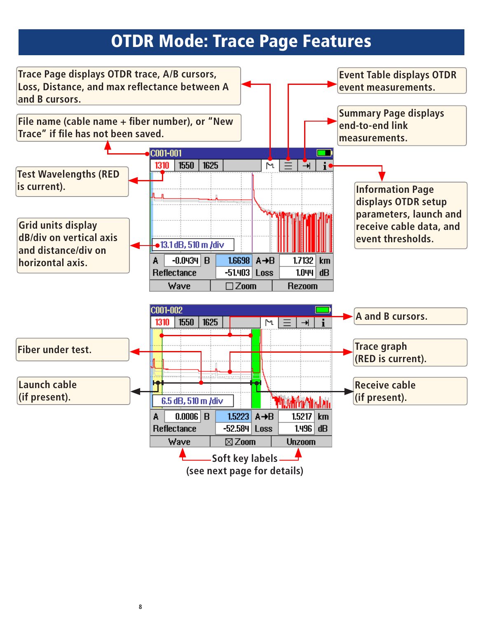### OTDR Mode: Trace Page Features

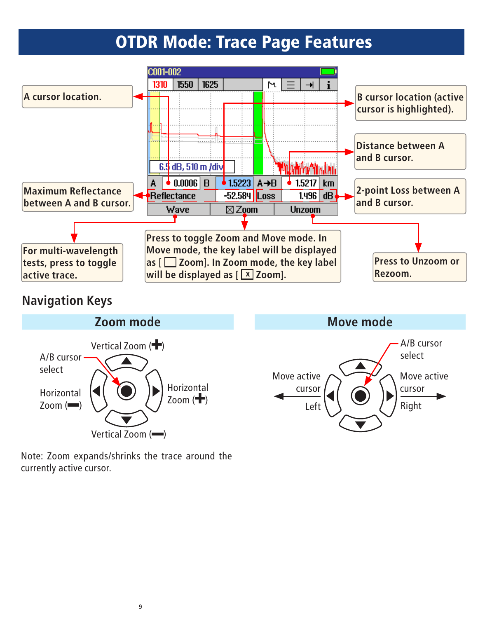## OTDR Mode: Trace Page Features



#### **Navigation Keys**



Note: Zoom expands/shrinks the trace around the currently active cursor.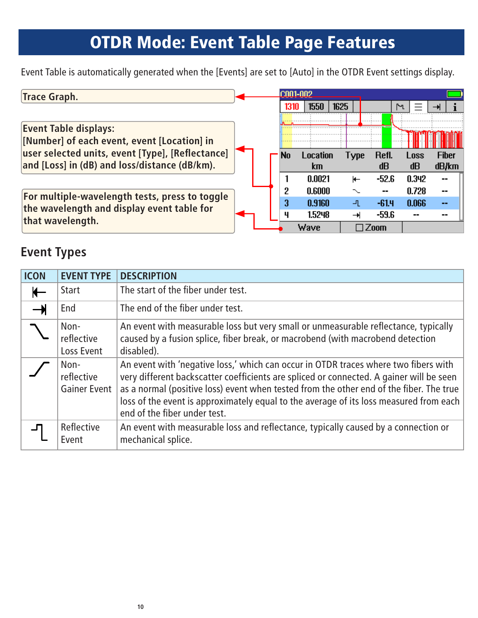## OTDR Mode: Event Table Page Features

Event Table is automatically generated when the [Events] are set to [Auto] in the OTDR Event settings display.

| <b>Trace Graph.</b>                                                                                                                                                              |  |  | ICNN1-NN2 |                |      |      |             |                   |                          |
|----------------------------------------------------------------------------------------------------------------------------------------------------------------------------------|--|--|-----------|----------------|------|------|-------------|-------------------|--------------------------|
|                                                                                                                                                                                  |  |  | 1310      | 1550           | 1625 |      |             | ľЧ                |                          |
| <b>Event Table displays:</b><br>[Number] of each event, event [Location] in<br>user selected units, event [Type], [Reflectance]<br>and [Loss] in (dB) and loss/distance (dB/km). |  |  |           |                |      |      |             |                   |                          |
|                                                                                                                                                                                  |  |  | No        | Location<br>km |      | Type | Refl.<br>dB | <b>Loss</b><br>dB | <b>Fiber</b><br>dB/km    |
|                                                                                                                                                                                  |  |  |           | 0.0021         |      | ⊬    | $-52.6$     | 0.342             | --                       |
| For multiple-wavelength tests, press to toggle                                                                                                                                   |  |  | 9         | 0.6000         |      |      | --          | 0.728             | $\overline{\phantom{a}}$ |
| the wavelength and display event table for                                                                                                                                       |  |  | 3         | 0.9160         |      | ப    | $-61.4$     | 0.066             | --                       |
| that wavelength.                                                                                                                                                                 |  |  | ц         | 1.5248         |      |      | $-59.6$     |                   |                          |
|                                                                                                                                                                                  |  |  |           | Wave           |      |      | ″nnm        |                   |                          |

#### **Event Types**

| <b>ICON</b> | <b>EVENT TYPE</b>                         | <b>DESCRIPTION</b>                                                                                                                                                                                                                                                                                                                                                                                    |
|-------------|-------------------------------------------|-------------------------------------------------------------------------------------------------------------------------------------------------------------------------------------------------------------------------------------------------------------------------------------------------------------------------------------------------------------------------------------------------------|
|             | <b>Start</b>                              | The start of the fiber under test.                                                                                                                                                                                                                                                                                                                                                                    |
|             | End                                       | The end of the fiber under test.                                                                                                                                                                                                                                                                                                                                                                      |
|             | Non-<br>reflective<br>Loss Event          | An event with measurable loss but very small or unmeasurable reflectance, typically<br>caused by a fusion splice, fiber break, or macrobend (with macrobend detection<br>disabled).                                                                                                                                                                                                                   |
|             | Non-<br>reflective<br><b>Gainer Event</b> | An event with 'negative loss,' which can occur in OTDR traces where two fibers with<br>very different backscatter coefficients are spliced or connected. A gainer will be seen<br>as a normal (positive loss) event when tested from the other end of the fiber. The true<br>loss of the event is approximately equal to the average of its loss measured from each  <br>end of the fiber under test. |
|             | Reflective<br>Event                       | An event with measurable loss and reflectance, typically caused by a connection or<br>mechanical splice.                                                                                                                                                                                                                                                                                              |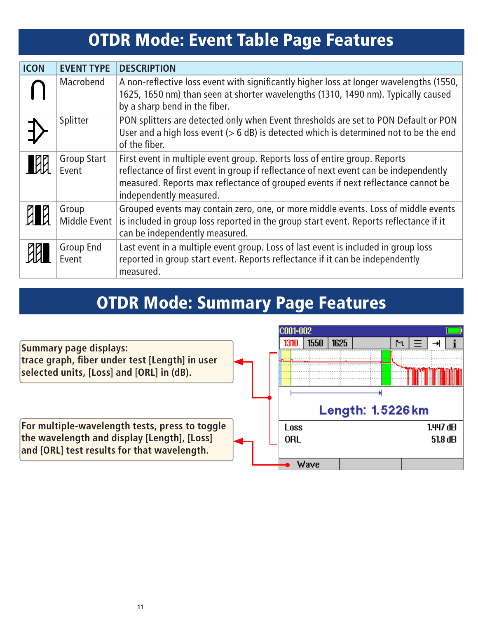# OTDR Mode: Event Table Page Features

| <b>ICON</b> | <b>EVENT TYPE</b>           | <b>DESCRIPTION</b>                                                                                                                                                                                                                                                                  |  |  |  |  |  |
|-------------|-----------------------------|-------------------------------------------------------------------------------------------------------------------------------------------------------------------------------------------------------------------------------------------------------------------------------------|--|--|--|--|--|
|             | Macrobend                   | A non-reflective loss event with significantly higher loss at longer wavelengths (1550,<br>1625, 1650 nm) than seen at shorter wavelengths (1310, 1490 nm). Typically caused<br>by a sharp bend in the fiber.                                                                       |  |  |  |  |  |
|             | Splitter                    | PON splitters are detected only when Event thresholds are set to PON Default or PON<br>User and a high loss event $(> 6$ dB) is detected which is determined not to be the end<br>of the fiber.                                                                                     |  |  |  |  |  |
| <b>EXP</b>  | <b>Group Start</b><br>Event | First event in multiple event group. Reports loss of entire group. Reports<br>reflectance of first event in group if reflectance of next event can be independently<br>measured. Reports max reflectance of grouped events if next reflectance cannot be<br>independently measured. |  |  |  |  |  |
| <b>ENR</b>  | Group<br>Middle Event       | Grouped events may contain zero, one, or more middle events. Loss of middle events<br>is included in group loss reported in the group start event. Reports reflectance if it<br>can be independently measured.                                                                      |  |  |  |  |  |
|             | Group End<br>Event          | Last event in a multiple event group. Loss of last event is included in group loss<br>reported in group start event. Reports reflectance if it can be independently<br>measured.                                                                                                    |  |  |  |  |  |

## OTDR Mode: Summary Page Features

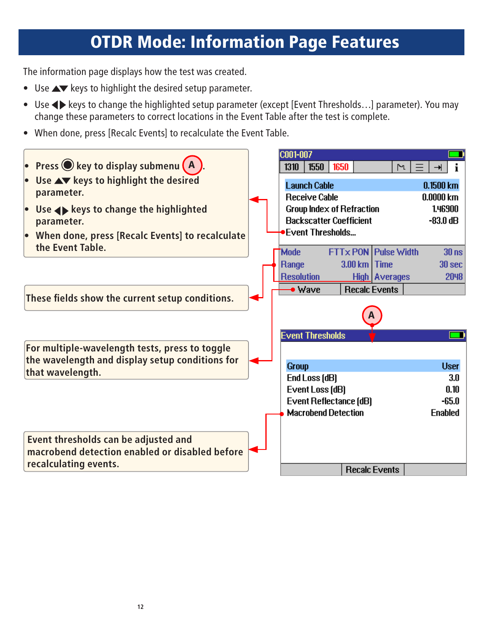### OTDR Mode: Information Page Features

The information page displays how the test was created.

- Use  $\blacktriangle\blacktriangledown$  keys to highlight the desired setup parameter.
- Use  $\blacklozenge$  keys to change the highlighted setup parameter (except [Event Thresholds...] parameter). You may change these parameters to correct locations in the Event Table after the test is complete.
- When done, press [Recalc Events] to recalculate the Event Table.

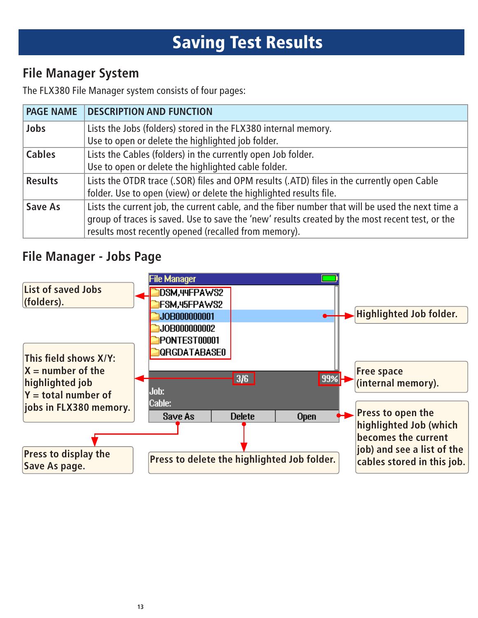# Saving Test Results

#### **File Manager System**

The FLX380 File Manager system consists of four pages:

| <b>PAGE NAME</b> | <b>DESCRIPTION AND FUNCTION</b>                                                                                                                                                                                                                             |  |  |  |  |
|------------------|-------------------------------------------------------------------------------------------------------------------------------------------------------------------------------------------------------------------------------------------------------------|--|--|--|--|
| Jobs             | Lists the Jobs (folders) stored in the FLX380 internal memory.<br>Use to open or delete the highlighted job folder.                                                                                                                                         |  |  |  |  |
| <b>Cables</b>    | Lists the Cables (folders) in the currently open Job folder.<br>Use to open or delete the highlighted cable folder.                                                                                                                                         |  |  |  |  |
| <b>Results</b>   | Lists the OTDR trace (.SOR) files and OPM results (.ATD) files in the currently open Cable<br>folder. Use to open (view) or delete the highlighted results file.                                                                                            |  |  |  |  |
| Save As          | Lists the current job, the current cable, and the fiber number that will be used the next time a<br>group of traces is saved. Use to save the 'new' results created by the most recent test, or the<br>results most recently opened (recalled from memory). |  |  |  |  |

#### **File Manager - Jobs Page**

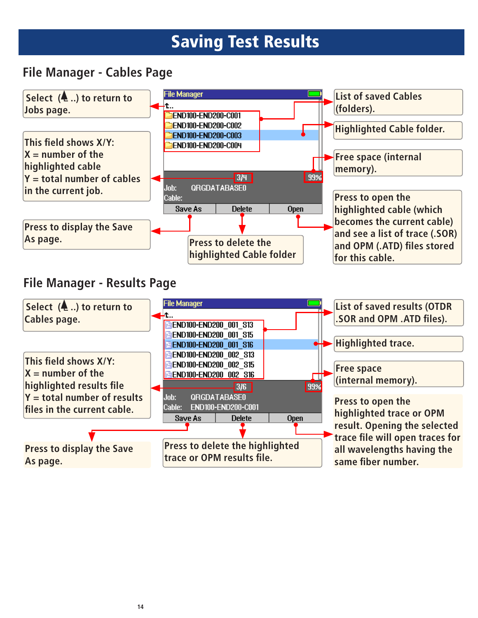### Saving Test Results

#### **File Manager - Cables Page**

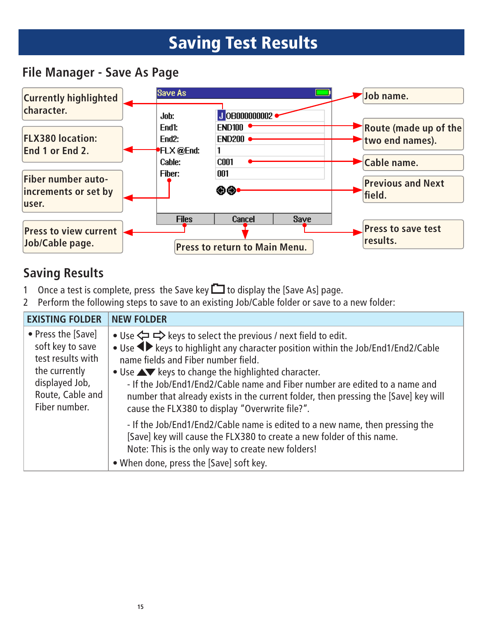### Saving Test Results

#### **File Manager - Save As Page**



#### **Saving Results**

- 1 Once a test is complete, press the Save key  $\Box$  to display the [Save As] page.
- 2 Perform the following steps to save to an existing Job/Cable folder or save to a new folder:

| <b>EXISTING FOLDER</b>                                                                                                              | <b>NEW FOLDER</b>                                                                                                                                                                                                                                                                                                                                                                                                                                                                                                                     |  |  |  |  |  |
|-------------------------------------------------------------------------------------------------------------------------------------|---------------------------------------------------------------------------------------------------------------------------------------------------------------------------------------------------------------------------------------------------------------------------------------------------------------------------------------------------------------------------------------------------------------------------------------------------------------------------------------------------------------------------------------|--|--|--|--|--|
| • Press the [Save]<br>soft key to save<br>test results with<br>the currently<br>displayed Job,<br>Route, Cable and<br>Fiber number. | • Use $\Leftrightarrow$ $\Leftrightarrow$ keys to select the previous / next field to edit.<br>• Use <>> keys to highlight any character position within the Job/End1/End2/Cable<br>name fields and Fiber number field.<br>• Use $\blacktriangle\blacktriangledown$ keys to change the highlighted character.<br>- If the Job/End1/End2/Cable name and Fiber number are edited to a name and<br>number that already exists in the current folder, then pressing the [Save] key will<br>cause the FLX380 to display "Overwrite file?". |  |  |  |  |  |
|                                                                                                                                     | - If the Job/End1/End2/Cable name is edited to a new name, then pressing the<br>[Save] key will cause the FLX380 to create a new folder of this name.<br>Note: This is the only way to create new folders!<br>• When done, press the [Save] soft key.                                                                                                                                                                                                                                                                                 |  |  |  |  |  |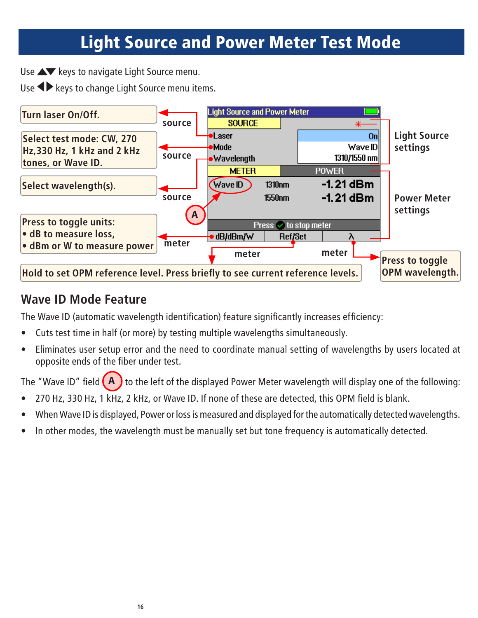### Light Source and Power Meter Test Mode

Use  $\blacktriangle\blacktriangledown$  keys to navigate Light Source menu.

Use  $\blacklozenge$  keys to change Light Source menu items.



#### **Wave ID Mode Feature**

The Wave ID (automatic wavelength identification) feature significantly increases efficiency:

- Cuts test time in half (or more) by testing multiple wavelengths simultaneously.
- Eliminates user setup error and the need to coordinate manual setting of wavelengths by users located at opposite ends of the fiber under test.

The "Wave ID" field  $(A)$  to the left of the displayed Power Meter wavelength will display one of the following:

- 270 Hz, 330 Hz, 1 kHz, 2 kHz, or Wave ID. If none of these are detected, this OPM field is blank.
- When Wave ID is displayed, Power or loss is measured and displayed for the automatically detected wavelengths.
- In other modes, the wavelength must be manually set but tone frequency is automatically detected.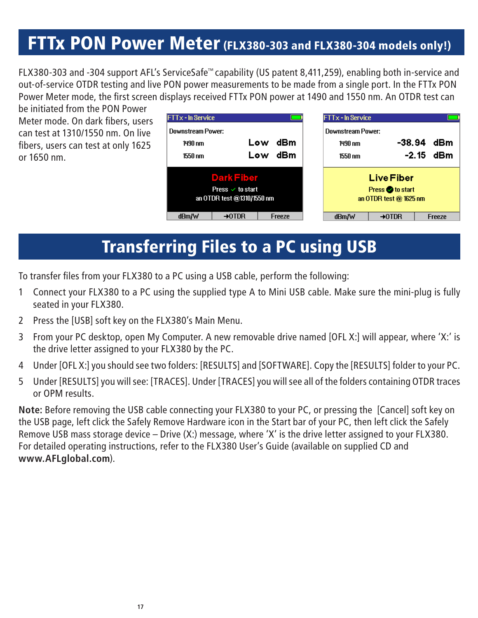#### FTTx PON Power Meter (FLX380-303 and FLX380-304 models only!)

FLX380-303 and -304 support AFL's ServiceSafe™ capability (US patent 8,411,259), enabling both in-service and out-of-service OTDR testing and live PON power measurements to be made from a single port. In the FTTx PON Power Meter mode, the first screen displays received FTTx PON power at 1490 and 1550 nm. An OTDR test can

be initiated from the PON Power Meter mode. On dark fibers, users can test at 1310/1550 nm. On live fibers, users can test at only 1625 or 1650 nm.

| <b>FTTx - In Service</b>                                                       |                    |            |        |                                                               | <b>FTTx - In Service</b> |                    |            |        |
|--------------------------------------------------------------------------------|--------------------|------------|--------|---------------------------------------------------------------|--------------------------|--------------------|------------|--------|
| Downstream Power:<br>Low<br>1490 nm<br>Low<br>1550 nm                          |                    | dBm<br>dBm |        | Downstream Power:<br>1490 nm<br>1550 nm                       | -38.94                   | $-2.15$            | dBm<br>dBm |        |
| <b>Dark Fiber</b><br>Press $\checkmark$ to start<br>an OTDR test @1310/1550 nm |                    |            |        | <b>Live Fiber</b><br>Press to start<br>an OTDR test @ 1625 nm |                          |                    |            |        |
| dBm/W                                                                          | $\rightarrow$ OTDR |            | Freeze |                                                               | dBm/W                    | $\rightarrow$ OTDR |            | Freeze |

#### Transferring Files to a PC using USB

To transfer files from your FLX380 to a PC using a USB cable, perform the following:

- 1 Connect your FLX380 to a PC using the supplied type A to Mini USB cable. Make sure the mini-plug is fully seated in your FLX380.
- 2 Press the [USB] soft key on the FLX380's Main Menu.
- 3 From your PC desktop, open My Computer. A new removable drive named [OFL X:] will appear, where 'X:' is the drive letter assigned to your FLX380 by the PC.
- 4 Under [OFL X:] you should see two folders: [RESULTS] and [SOFTWARE]. Copy the [RESULTS] folder to your PC.
- 5 Under [RESULTS] you will see: [TRACES]. Under [TRACES] you will see all of the folders containing OTDR traces or OPM results.

**Note:** Before removing the USB cable connecting your FLX380 to your PC, or pressing the [Cancel] soft key on the USB page, left click the Safely Remove Hardware icon in the Start bar of your PC, then left click the Safely Remove USB mass storage device – Drive (X:) message, where 'X' is the drive letter assigned to your FLX380. For detailed operating instructions, refer to the FLX380 User's Guide (available on supplied CD and **www.AFLglobal.com**).